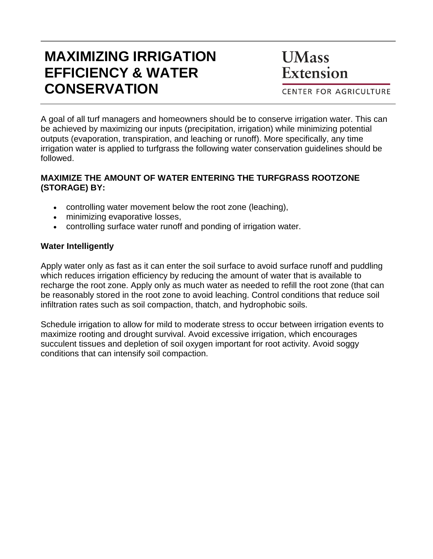# **MAXIMIZING IRRIGATION EFFICIENCY & WATER CONSERVATION**

**UMass** Extension

**CENTER FOR AGRICULTURE** 

A goal of all turf managers and homeowners should be to conserve irrigation water. This can be achieved by maximizing our inputs (precipitation, irrigation) while minimizing potential outputs (evaporation, transpiration, and leaching or runoff). More specifically, any time irrigation water is applied to turfgrass the following water conservation guidelines should be followed.

#### **MAXIMIZE THE AMOUNT OF WATER ENTERING THE TURFGRASS ROOTZONE (STORAGE) BY:**

- controlling water movement below the root zone (leaching),
- minimizing evaporative losses,
- controlling surface water runoff and ponding of irrigation water.

#### **Water Intelligently**

Apply water only as fast as it can enter the soil surface to avoid surface runoff and puddling which reduces irrigation efficiency by reducing the amount of water that is available to recharge the root zone. Apply only as much water as needed to refill the root zone (that can be reasonably stored in the root zone to avoid leaching. Control conditions that reduce soil infiltration rates such as soil compaction, thatch, and hydrophobic soils.

Schedule irrigation to allow for mild to moderate stress to occur between irrigation events to maximize rooting and drought survival. Avoid excessive irrigation, which encourages succulent tissues and depletion of soil oxygen important for root activity. Avoid soggy conditions that can intensify soil compaction.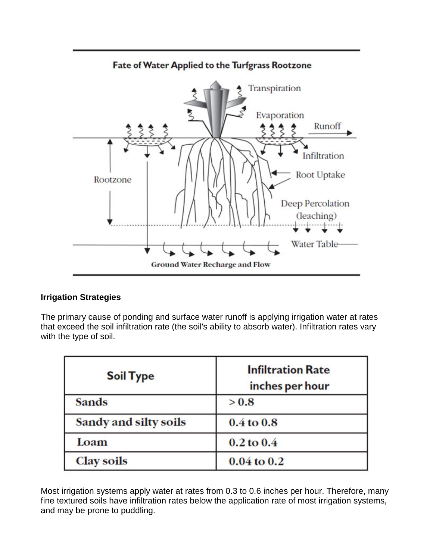

#### **Irrigation Strategies**

The primary cause of ponding and surface water runoff is applying irrigation water at rates that exceed the soil infiltration rate (the soil's ability to absorb water). Infiltration rates vary with the type of soil.

| <b>Soil Type</b>      | <b>Infiltration Rate</b><br>inches per hour |
|-----------------------|---------------------------------------------|
| <b>Sands</b>          | > 0.8                                       |
| Sandy and silty soils | $0.4$ to $0.8$                              |
| Loam                  | $0.2$ to $0.4$                              |
| <b>Clay soils</b>     | $0.04$ to $0.2$                             |

Most irrigation systems apply water at rates from 0.3 to 0.6 inches per hour. Therefore, many fine textured soils have infiltration rates below the application rate of most irrigation systems, and may be prone to puddling.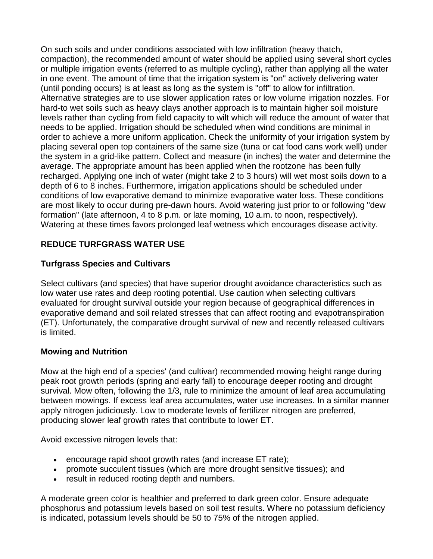On such soils and under conditions associated with low infiltration (heavy thatch, compaction), the recommended amount of water should be applied using several short cycles or multiple irrigation events (referred to as multiple cycling), rather than applying all the water in one event. The amount of time that the irrigation system is "on" actively delivering water (until ponding occurs) is at least as long as the system is "off" to allow for infiltration. Alternative strategies are to use slower application rates or low volume irrigation nozzles. For hard-to wet soils such as heavy clays another approach is to maintain higher soil moisture levels rather than cycling from field capacity to wilt which will reduce the amount of water that needs to be applied. Irrigation should be scheduled when wind conditions are minimal in order to achieve a more uniform application. Check the uniformity of your irrigation system by placing several open top containers of the same size (tuna or cat food cans work well) under the system in a grid-like pattern. Collect and measure (in inches) the water and determine the average. The appropriate amount has been applied when the rootzone has been fully recharged. Applying one inch of water (might take 2 to 3 hours) will wet most soils down to a depth of 6 to 8 inches. Furthermore, irrigation applications should be scheduled under conditions of low evaporative demand to minimize evaporative water loss. These conditions are most likely to occur during pre-dawn hours. Avoid watering just prior to or following "dew formation" (late afternoon, 4 to 8 p.m. or late moming, 10 a.m. to noon, respectively). Watering at these times favors prolonged leaf wetness which encourages disease activity.

# **REDUCE TURFGRASS WATER USE**

# **Turfgrass Species and Cultivars**

Select cultivars (and species) that have superior drought avoidance characteristics such as low water use rates and deep rooting potential. Use caution when selecting cultivars evaluated for drought survival outside your region because of geographical differences in evaporative demand and soil related stresses that can affect rooting and evapotranspiration (ET). Unfortunately, the comparative drought survival of new and recently released cultivars is limited.

#### **Mowing and Nutrition**

Mow at the high end of a species' (and cultivar) recommended mowing height range during peak root growth periods (spring and early fall) to encourage deeper rooting and drought survival. Mow often, following the 1/3, rule to minimize the amount of leaf area accumulating between mowings. If excess leaf area accumulates, water use increases. In a similar manner apply nitrogen judiciously. Low to moderate levels of fertilizer nitrogen are preferred, producing slower leaf growth rates that contribute to lower ET.

Avoid excessive nitrogen levels that:

- encourage rapid shoot growth rates (and increase ET rate);
- promote succulent tissues (which are more drought sensitive tissues); and
- result in reduced rooting depth and numbers.

A moderate green color is healthier and preferred to dark green color. Ensure adequate phosphorus and potassium levels based on soil test results. Where no potassium deficiency is indicated, potassium levels should be 50 to 75% of the nitrogen applied.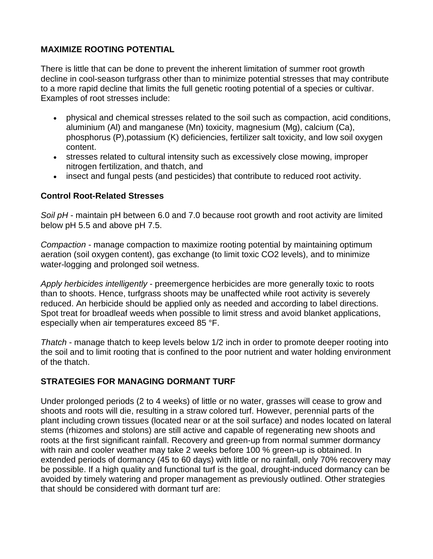# **MAXIMIZE ROOTING POTENTIAL**

There is little that can be done to prevent the inherent limitation of summer root growth decline in cool-season turfgrass other than to minimize potential stresses that may contribute to a more rapid decline that limits the full genetic rooting potential of a species or cultivar. Examples of root stresses include:

- physical and chemical stresses related to the soil such as compaction, acid conditions, aluminium (Al) and manganese (Mn) toxicity, magnesium (Mg), calcium (Ca), phosphorus (P),potassium (K) deficiencies, fertilizer salt toxicity, and low soil oxygen content.
- stresses related to cultural intensity such as excessively close mowing, improper nitrogen fertilization, and thatch, and
- insect and fungal pests (and pesticides) that contribute to reduced root activity.

#### **Control Root-Related Stresses**

*Soil pH* - maintain pH between 6.0 and 7.0 because root growth and root activity are limited below pH 5.5 and above pH 7.5.

*Compaction* - manage compaction to maximize rooting potential by maintaining optimum aeration (soil oxygen content), gas exchange (to limit toxic CO2 levels), and to minimize water-logging and prolonged soil wetness.

*Apply herbicides intelligently* - preemergence herbicides are more generally toxic to roots than to shoots. Hence, turfgrass shoots may be unaffected while root activity is severely reduced. An herbicide should be applied only as needed and according to label directions. Spot treat for broadleaf weeds when possible to limit stress and avoid blanket applications, especially when air temperatures exceed 85 °F.

*Thatch* - manage thatch to keep levels below 1/2 inch in order to promote deeper rooting into the soil and to limit rooting that is confined to the poor nutrient and water holding environment of the thatch.

# **STRATEGIES FOR MANAGING DORMANT TURF**

Under prolonged periods (2 to 4 weeks) of little or no water, grasses will cease to grow and shoots and roots will die, resulting in a straw colored turf. However, perennial parts of the plant including crown tissues (located near or at the soil surface) and nodes located on lateral stems (rhizomes and stolons) are still active and capable of regenerating new shoots and roots at the first significant rainfall. Recovery and green-up from normal summer dormancy with rain and cooler weather may take 2 weeks before 100 % green-up is obtained. In extended periods of dormancy (45 to 60 days) with little or no rainfall, only 70% recovery may be possible. If a high quality and functional turf is the goal, drought-induced dormancy can be avoided by timely watering and proper management as previously outlined. Other strategies that should be considered with dormant turf are: